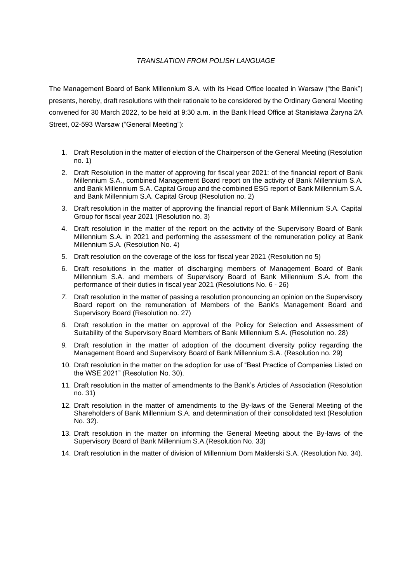#### *TRANSLATION FROM POLISH LANGUAGE*

The Management Board of Bank Millennium S.A. with its Head Office located in Warsaw ("the Bank") presents, hereby, draft resolutions with their rationale to be considered by the Ordinary General Meeting convened for 30 March 2022, to be held at 9:30 a.m. in the Bank Head Office at Stanisława Żaryna 2A Street, 02-593 Warsaw ("General Meeting"):

- 1. Draft Resolution in the matter of election of the Chairperson of the General Meeting (Resolution no. 1)
- 2. Draft Resolution in the matter of approving for fiscal year 2021: of the financial report of Bank Millennium S.A., combined Management Board report on the activity of Bank Millennium S.A. and Bank Millennium S.A. Capital Group and the combined ESG report of Bank Millennium S.A. and Bank Millennium S.A. Capital Group (Resolution no. 2)
- 3. Draft resolution in the matter of approving the financial report of Bank Millennium S.A. Capital Group for fiscal year 2021 (Resolution no. 3)
- 4. Draft resolution in the matter of the report on the activity of the Supervisory Board of Bank Millennium S.A. in 2021 and performing the assessment of the remuneration policy at Bank Millennium S.A. (Resolution No. 4)
- 5. Draft resolution on the coverage of the loss for fiscal year 2021 (Resolution no 5)
- 6. Draft resolutions in the matter of discharging members of Management Board of Bank Millennium S.A. and members of Supervisory Board of Bank Millennium S.A. from the performance of their duties in fiscal year 2021 (Resolutions No. 6 - 26)
- *7.* Draft resolution in the matter of passing a resolution pronouncing an opinion on the Supervisory Board report on the remuneration of Members of the Bank's Management Board and Supervisory Board (Resolution no. 27)
- *8.* Draft resolution in the matter on approval of the Policy for Selection and Assessment of Suitability of the Supervisory Board Members of Bank Millennium S.A. (Resolution no. 28)
- *9.* Draft resolution in the matter of adoption of the document diversity policy regarding the Management Board and Supervisory Board of Bank Millennium S.A. (Resolution no. 29)
- 10. Draft resolution in the matter on the adoption for use of "Best Practice of Companies Listed on the WSE 2021" (Resolution No. 30).
- 11. Draft resolution in the matter of amendments to the Bank's Articles of Association (Resolution no. 31)
- 12. Draft resolution in the matter of amendments to the By-laws of the General Meeting of the Shareholders of Bank Millennium S.A. and determination of their consolidated text (Resolution No. 32).
- 13. Draft resolution in the matter on informing the General Meeting about the By-laws of the Supervisory Board of Bank Millennium S.A.(Resolution No. 33)
- 14. Draft resolution in the matter of division of Millennium Dom Maklerski S.A. (Resolution No. 34).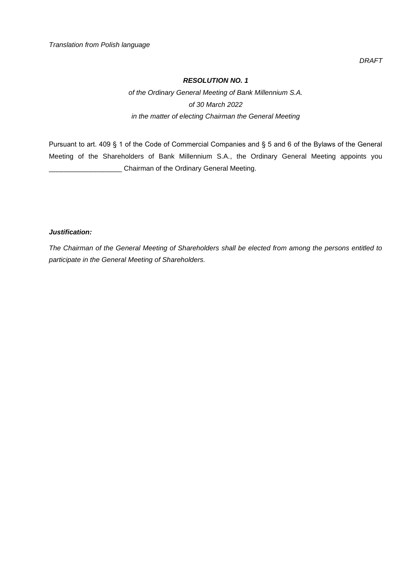*DRAFT*

# *RESOLUTION NO. 1*

*of the Ordinary General Meeting of Bank Millennium S.A. of 30 March 2022 in the matter of electing Chairman the General Meeting*

Pursuant to art. 409 § 1 of the Code of Commercial Companies and § 5 and 6 of the Bylaws of the General Meeting of the Shareholders of Bank Millennium S.A., the Ordinary General Meeting appoints you \_\_\_\_\_\_\_\_\_\_\_\_\_\_\_\_\_\_\_ Chairman of the Ordinary General Meeting.

# *Justification:*

*The Chairman of the General Meeting of Shareholders shall be elected from among the persons entitled to participate in the General Meeting of Shareholders.*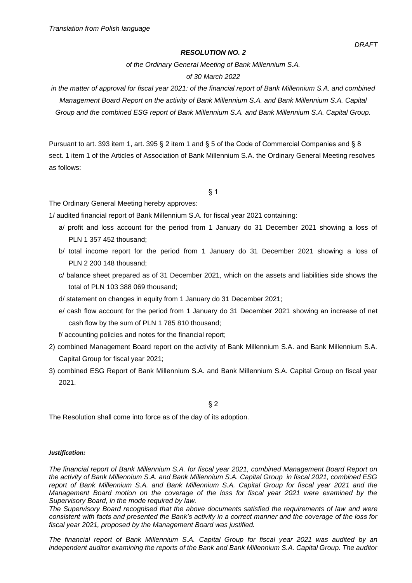*of the Ordinary General Meeting of Bank Millennium S.A.*

#### *of 30 March 2022*

*in the matter of approval for fiscal year 2021: of the financial report of Bank Millennium S.A. and combined Management Board Report on the activity of Bank Millennium S.A. and Bank Millennium S.A. Capital Group and the combined ESG report of Bank Millennium S.A. and Bank Millennium S.A. Capital Group.*

Pursuant to art. 393 item 1, art. 395 § 2 item 1 and § 5 of the Code of Commercial Companies and § 8 sect. 1 item 1 of the Articles of Association of Bank Millennium S.A. the Ordinary General Meeting resolves as follows:

§ 1

The Ordinary General Meeting hereby approves:

1/ audited financial report of Bank Millennium S.A. for fiscal year 2021 containing:

- a/ profit and loss account for the period from 1 January do 31 December 2021 showing a loss of PLN 1 357 452 thousand;
- b/ total income report for the period from 1 January do 31 December 2021 showing a loss of PLN 2 200 148 thousand;
- c/ balance sheet prepared as of 31 December 2021, which on the assets and liabilities side shows the total of PLN 103 388 069 thousand;
- d/ statement on changes in equity from 1 January do 31 December 2021;
- e/ cash flow account for the period from 1 January do 31 December 2021 showing an increase of net cash flow by the sum of PLN 1 785 810 thousand;
- f/ accounting policies and notes for the financial report;
- 2) combined Management Board report on the activity of Bank Millennium S.A. and Bank Millennium S.A. Capital Group for fiscal year 2021;
- 3) combined ESG Report of Bank Millennium S.A. and Bank Millennium S.A. Capital Group on fiscal year 2021.

§ 2

The Resolution shall come into force as of the day of its adoption.

#### *Justification:*

*The financial report of Bank Millennium S.A. for fiscal year 2021, combined Management Board Report on the activity of Bank Millennium S.A. and Bank Millennium S.A. Capital Group in fiscal 2021, combined ESG*  report of Bank Millennium S.A. and Bank Millennium S.A. Capital Group for fiscal year 2021 and the *Management Board motion on the coverage of the loss for fiscal year 2021 were examined by the Supervisory Board, in the mode required by law.*

*The Supervisory Board recognised that the above documents satisfied the requirements of law and were consistent with facts and presented the Bank's activity in a correct manner and the coverage of the loss for fiscal year 2021, proposed by the Management Board was justified.*

*The financial report of Bank Millennium S.A. Capital Group for fiscal year 2021 was audited by an independent auditor examining the reports of the Bank and Bank Millennium S.A. Capital Group. The auditor*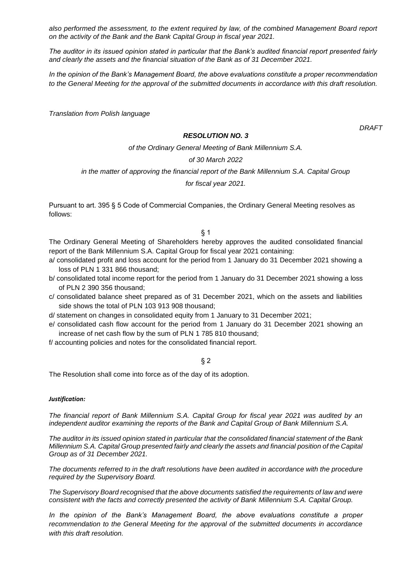*also performed the assessment, to the extent required by law, of the combined Management Board report on the activity of the Bank and the Bank Capital Group in fiscal year 2021.*

*The auditor in its issued opinion stated in particular that the Bank's audited financial report presented fairly and clearly the assets and the financial situation of the Bank as of 31 December 2021.*

*In the opinion of the Bank's Management Board, the above evaluations constitute a proper recommendation to the General Meeting for the approval of the submitted documents in accordance with this draft resolution.*

*Translation from Polish language*

#### *RESOLUTION NO. 3*

*DRAFT*

# *of the Ordinary General Meeting of Bank Millennium S.A. of 30 March 2022 in the matter of approving the financial report of the Bank Millennium S.A. Capital Group*

*for fiscal year 2021.*

Pursuant to art. 395 § 5 Code of Commercial Companies, the Ordinary General Meeting resolves as follows:

§ 1

The Ordinary General Meeting of Shareholders hereby approves the audited consolidated financial report of the Bank Millennium S.A. Capital Group for fiscal year 2021 containing:

- a/ consolidated profit and loss account for the period from 1 January do 31 December 2021 showing a loss of PLN 1 331 866 thousand;
- b/ consolidated total income report for the period from 1 January do 31 December 2021 showing a loss of PLN 2 390 356 thousand;
- c/ consolidated balance sheet prepared as of 31 December 2021, which on the assets and liabilities side shows the total of PLN 103 913 908 thousand;
- d/ statement on changes in consolidated equity from 1 January to 31 December 2021;
- e/ consolidated cash flow account for the period from 1 January do 31 December 2021 showing an increase of net cash flow by the sum of PLN 1 785 810 thousand;
- f/ accounting policies and notes for the consolidated financial report.

§ 2

The Resolution shall come into force as of the day of its adoption.

#### *Justification:*

*The financial report of Bank Millennium S.A. Capital Group for fiscal year 2021 was audited by an independent auditor examining the reports of the Bank and Capital Group of Bank Millennium S.A.*

*The auditor in its issued opinion stated in particular that the consolidated financial statement of the Bank Millennium S.A. Capital Group presented fairly and clearly the assets and financial position of the Capital Group as of 31 December 2021.*

*The documents referred to in the draft resolutions have been audited in accordance with the procedure required by the Supervisory Board.*

*The Supervisory Board recognised that the above documents satisfied the requirements of law and were consistent with the facts and correctly presented the activity of Bank Millennium S.A. Capital Group.*

*In the opinion of the Bank's Management Board, the above evaluations constitute a proper recommendation to the General Meeting for the approval of the submitted documents in accordance with this draft resolution.*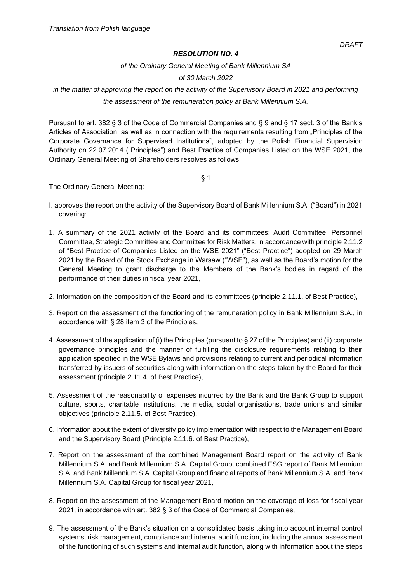*of the Ordinary General Meeting of Bank Millennium SA*

*of 30 March 2022* 

# *in the matter of approving the report on the activity of the Supervisory Board in 2021 and performing the assessment of the remuneration policy at Bank Millennium S.A.*

Pursuant to art. 382 § 3 of the Code of Commercial Companies and § 9 and § 17 sect. 3 of the Bank's Articles of Association, as well as in connection with the requirements resulting from "Principles of the Corporate Governance for Supervised Institutions", adopted by the Polish Financial Supervision Authority on 22.07.2014 ("Principles") and Best Practice of Companies Listed on the WSE 2021, the Ordinary General Meeting of Shareholders resolves as follows:

§ 1

The Ordinary General Meeting:

- I. approves the report on the activity of the Supervisory Board of Bank Millennium S.A. ("Board") in 2021 covering:
- 1. A summary of the 2021 activity of the Board and its committees: Audit Committee, Personnel Committee, Strategic Committee and Committee for Risk Matters, in accordance with principle 2.11.2 of "Best Practice of Companies Listed on the WSE 2021" ("Best Practice") adopted on 29 March 2021 by the Board of the Stock Exchange in Warsaw ("WSE"), as well as the Board's motion for the General Meeting to grant discharge to the Members of the Bank's bodies in regard of the performance of their duties in fiscal year 2021,
- 2. Information on the composition of the Board and its committees (principle 2.11.1. of Best Practice),
- 3. Report on the assessment of the functioning of the remuneration policy in Bank Millennium S.A., in accordance with § 28 item 3 of the Principles,
- 4. Assessment of the application of (i) the Principles (pursuant to § 27 of the Principles) and (ii) corporate governance principles and the manner of fulfilling the disclosure requirements relating to their application specified in the WSE Bylaws and provisions relating to current and periodical information transferred by issuers of securities along with information on the steps taken by the Board for their assessment (principle 2.11.4. of Best Practice),
- 5. Assessment of the reasonability of expenses incurred by the Bank and the Bank Group to support culture, sports, charitable institutions, the media, social organisations, trade unions and similar objectives (principle 2.11.5. of Best Practice),
- 6. Information about the extent of diversity policy implementation with respect to the Management Board and the Supervisory Board (Principle 2.11.6. of Best Practice),
- 7. Report on the assessment of the combined Management Board report on the activity of Bank Millennium S.A. and Bank Millennium S.A. Capital Group, combined ESG report of Bank Millennium S.A. and Bank Millennium S.A. Capital Group and financial reports of Bank Millennium S.A. and Bank Millennium S.A. Capital Group for fiscal year 2021,
- 8. Report on the assessment of the Management Board motion on the coverage of loss for fiscal year 2021, in accordance with art. 382 § 3 of the Code of Commercial Companies,
- 9. The assessment of the Bank's situation on a consolidated basis taking into account internal control systems, risk management, compliance and internal audit function, including the annual assessment of the functioning of such systems and internal audit function, along with information about the steps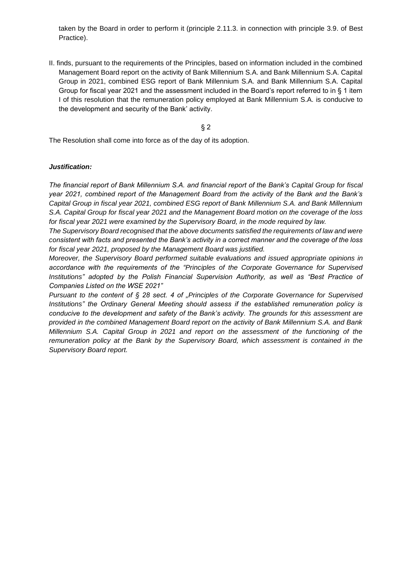taken by the Board in order to perform it (principle 2.11.3. in connection with principle 3.9. of Best Practice).

II. finds, pursuant to the requirements of the Principles, based on information included in the combined Management Board report on the activity of Bank Millennium S.A. and Bank Millennium S.A. Capital Group in 2021, combined ESG report of Bank Millennium S.A. and Bank Millennium S.A. Capital Group for fiscal year 2021 and the assessment included in the Board's report referred to in § 1 item I of this resolution that the remuneration policy employed at Bank Millennium S.A. is conducive to the development and security of the Bank' activity.

§ 2

The Resolution shall come into force as of the day of its adoption.

#### *Justification:*

*The financial report of Bank Millennium S.A. and financial report of the Bank's Capital Group for fiscal year 2021, combined report of the Management Board from the activity of the Bank and the Bank's Capital Group in fiscal year 2021, combined ESG report of Bank Millennium S.A. and Bank Millennium S.A. Capital Group for fiscal year 2021 and the Management Board motion on the coverage of the loss for fiscal year 2021 were examined by the Supervisory Board, in the mode required by law.*

*The Supervisory Board recognised that the above documents satisfied the requirements of law and were consistent with facts and presented the Bank's activity in a correct manner and the coverage of the loss for fiscal year 2021, proposed by the Management Board was justified.*

*Moreover, the Supervisory Board performed suitable evaluations and issued appropriate opinions in accordance with the requirements of the "Principles of the Corporate Governance for Supervised*  Institutions" adopted by the Polish Financial Supervision Authority, as well as "Best Practice of *Companies Listed on the WSE 2021"*

*Pursuant to the content of § 28 sect. 4 of "Principles of the Corporate Governance for Supervised Institutions" the Ordinary General Meeting should assess if the established remuneration policy is conducive to the development and safety of the Bank's activity. The grounds for this assessment are provided in the combined Management Board report on the activity of Bank Millennium S.A. and Bank Millennium S.A. Capital Group in 2021 and report on the assessment of the functioning of the remuneration policy at the Bank by the Supervisory Board, which assessment is contained in the Supervisory Board report.*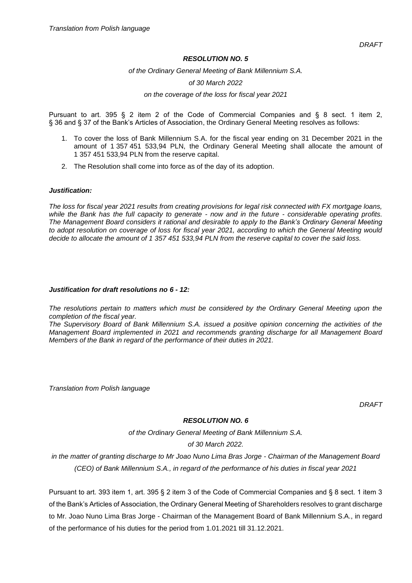#### *of the Ordinary General Meeting of Bank Millennium S.A.*

#### *of 30 March 2022*

#### *on the coverage of the loss for fiscal year 2021*

Pursuant to art. 395 § 2 item 2 of the Code of Commercial Companies and § 8 sect. 1 item 2, § 36 and § 37 of the Bank's Articles of Association, the Ordinary General Meeting resolves as follows:

- 1. To cover the loss of Bank Millennium S.A. for the fiscal year ending on 31 December 2021 in the amount of 1 357 451 533,94 PLN, the Ordinary General Meeting shall allocate the amount of 1 357 451 533,94 PLN from the reserve capital.
- 2. The Resolution shall come into force as of the day of its adoption.

#### *Justification:*

*The loss for fiscal year 2021 results from creating provisions for legal risk connected with FX mortgage loans, while the Bank has the full capacity to generate - now and in the future - considerable operating profits. The Management Board considers it rational and desirable to apply to the Bank's Ordinary General Meeting to adopt resolution on coverage of loss for fiscal year 2021, according to which the General Meeting would decide to allocate the amount of 1 357 451 533,94 PLN from the reserve capital to cover the said loss.*

#### *Justification for draft resolutions no 6 - 12:*

*The resolutions pertain to matters which must be considered by the Ordinary General Meeting upon the completion of the fiscal year.* 

*The Supervisory Board of Bank Millennium S.A. issued a positive opinion concerning the activities of the Management Board implemented in 2021 and recommends granting discharge for all Management Board Members of the Bank in regard of the performance of their duties in 2021.*

*Translation from Polish language* 

*DRAFT*

## *RESOLUTION NO. 6*

*of the Ordinary General Meeting of Bank Millennium S.A.*

#### *of 30 March 2022.*

*in the matter of granting discharge to Mr Joao Nuno Lima Bras Jorge - Chairman of the Management Board (CEO) of Bank Millennium S.A., in regard of the performance of his duties in fiscal year 2021*

Pursuant to art. 393 item 1, art. 395 § 2 item 3 of the Code of Commercial Companies and § 8 sect. 1 item 3 of the Bank's Articles of Association, the Ordinary General Meeting of Shareholders resolves to grant discharge to Mr. Joao Nuno Lima Bras Jorge - Chairman of the Management Board of Bank Millennium S.A., in regard of the performance of his duties for the period from 1.01.2021 till 31.12.2021.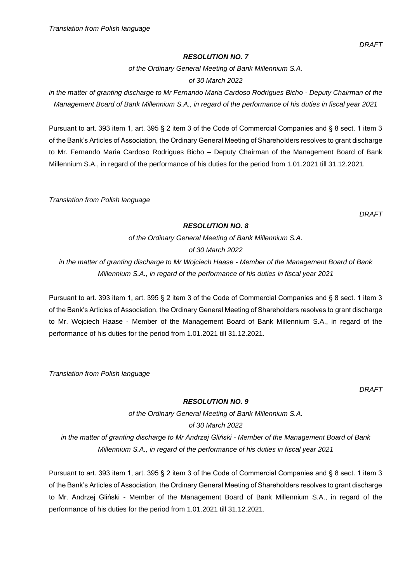*of the Ordinary General Meeting of Bank Millennium S.A.*

# *of 30 March 2022*

*in the matter of granting discharge to Mr Fernando Maria Cardoso Rodrigues Bicho - Deputy Chairman of the Management Board of Bank Millennium S.A., in regard of the performance of his duties in fiscal year 2021*

Pursuant to art. 393 item 1, art. 395 § 2 item 3 of the Code of Commercial Companies and § 8 sect. 1 item 3 of the Bank's Articles of Association, the Ordinary General Meeting of Shareholders resolves to grant discharge to Mr. Fernando Maria Cardoso Rodrigues Bicho – Deputy Chairman of the Management Board of Bank Millennium S.A., in regard of the performance of his duties for the period from 1.01.2021 till 31.12.2021.

*Translation from Polish language*

*DRAFT*

## *RESOLUTION NO. 8*

*of the Ordinary General Meeting of Bank Millennium S.A.*

*of 30 March 2022*

*in the matter of granting discharge to Mr Wojciech Haase - Member of the Management Board of Bank Millennium S.A., in regard of the performance of his duties in fiscal year 2021*

Pursuant to art. 393 item 1, art. 395 § 2 item 3 of the Code of Commercial Companies and § 8 sect. 1 item 3 of the Bank's Articles of Association, the Ordinary General Meeting of Shareholders resolves to grant discharge to Mr. Wojciech Haase - Member of the Management Board of Bank Millennium S.A., in regard of the performance of his duties for the period from 1.01.2021 till 31.12.2021.

*Translation from Polish language*

*DRAFT*

# *RESOLUTION NO. 9*

*of the Ordinary General Meeting of Bank Millennium S.A. of 30 March 2022 in the matter of granting discharge to Mr Andrzej Gliński - Member of the Management Board of Bank Millennium S.A., in regard of the performance of his duties in fiscal year 2021*

Pursuant to art. 393 item 1, art. 395 § 2 item 3 of the Code of Commercial Companies and § 8 sect. 1 item 3 of the Bank's Articles of Association, the Ordinary General Meeting of Shareholders resolves to grant discharge to Mr. Andrzej Gliński - Member of the Management Board of Bank Millennium S.A., in regard of the performance of his duties for the period from 1.01.2021 till 31.12.2021.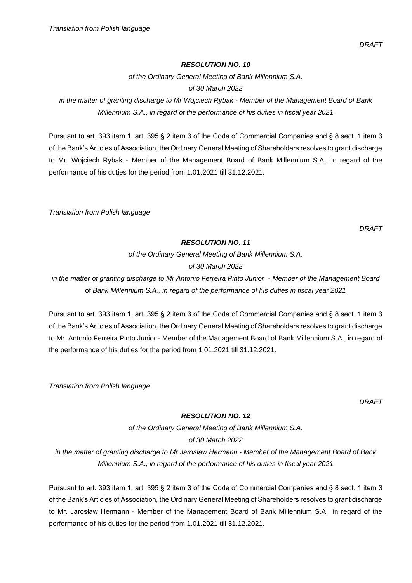*DRAFT*

#### *RESOLUTION NO. 10*

*of the Ordinary General Meeting of Bank Millennium S.A. of 30 March 2022*

*in the matter of granting discharge to Mr Wojciech Rybak - Member of the Management Board of Bank Millennium S.A., in regard of the performance of his duties in fiscal year 2021*

Pursuant to art. 393 item 1, art. 395 § 2 item 3 of the Code of Commercial Companies and § 8 sect. 1 item 3 of the Bank's Articles of Association, the Ordinary General Meeting of Shareholders resolves to grant discharge to Mr. Wojciech Rybak - Member of the Management Board of Bank Millennium S.A., in regard of the performance of his duties for the period from 1.01.2021 till 31.12.2021.

*Translation from Polish language*

*DRAFT*

# *RESOLUTION NO. 11*

*of the Ordinary General Meeting of Bank Millennium S.A. of 30 March 2022*

*in the matter of granting discharge to Mr Antonio Ferreira Pinto Junior - Member of the Management Board* of *Bank Millennium S.A., in regard of the performance of his duties in fiscal year 2021*

Pursuant to art. 393 item 1, art. 395 § 2 item 3 of the Code of Commercial Companies and § 8 sect. 1 item 3 of the Bank's Articles of Association, the Ordinary General Meeting of Shareholders resolves to grant discharge to Mr. Antonio Ferreira Pinto Junior - Member of the Management Board of Bank Millennium S.A., in regard of the performance of his duties for the period from 1.01.2021 till 31.12.2021.

*Translation from Polish language*

 *DRAFT*

# *RESOLUTION NO. 12*

*of the Ordinary General Meeting of Bank Millennium S.A. of 30 March 2022*

*in the matter of granting discharge to Mr Jarosław Hermann* - *Member of the Management Board of Bank Millennium S.A., in regard of the performance of his duties in fiscal year 2021*

Pursuant to art. 393 item 1, art. 395 § 2 item 3 of the Code of Commercial Companies and § 8 sect. 1 item 3 of the Bank's Articles of Association, the Ordinary General Meeting of Shareholders resolves to grant discharge to Mr. Jarosław Hermann - Member of the Management Board of Bank Millennium S.A., in regard of the performance of his duties for the period from 1.01.2021 till 31.12.2021.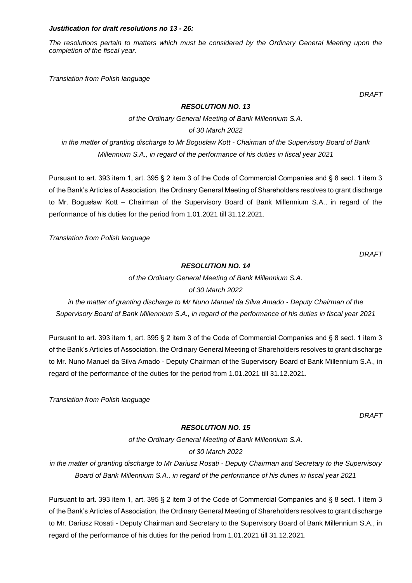#### *Justification for draft resolutions no 13 - 26:*

*The resolutions pertain to matters which must be considered by the Ordinary General Meeting upon the completion of the fiscal year.*

*Translation from Polish language*

*DRAFT*

#### *RESOLUTION NO. 13*

*of the Ordinary General Meeting of Bank Millennium S.A.* 

*of 30 March 2022*

*in the matter of granting discharge to Mr Bogusław Kott - Chairman of the Supervisory Board of Bank Millennium S.A., in regard of the performance of his duties in fiscal year 2021*

Pursuant to art. 393 item 1, art. 395 § 2 item 3 of the Code of Commercial Companies and § 8 sect. 1 item 3 of the Bank's Articles of Association, the Ordinary General Meeting of Shareholders resolves to grant discharge to Mr. Bogusław Kott – Chairman of the Supervisory Board of Bank Millennium S.A., in regard of the performance of his duties for the period from 1.01.2021 till 31.12.2021.

*Translation from Polish language*

 *DRAFT*

#### *RESOLUTION NO. 14*

*of the Ordinary General Meeting of Bank Millennium S.A. of 30 March 2022*

*in the matter of granting discharge to Mr Nuno Manuel da Silva Amado - Deputy Chairman of the Supervisory Board of Bank Millennium S.A., in regard of the performance of his duties in fiscal year 2021*

Pursuant to art. 393 item 1, art. 395 § 2 item 3 of the Code of Commercial Companies and § 8 sect. 1 item 3 of the Bank's Articles of Association, the Ordinary General Meeting of Shareholders resolves to grant discharge to Mr. Nuno Manuel da Silva Amado - Deputy Chairman of the Supervisory Board of Bank Millennium S.A., in regard of the performance of the duties for the period from 1.01.2021 till 31.12.2021.

*Translation from Polish language*

*DRAFT*

# *RESOLUTION NO. 15*

*of the Ordinary General Meeting of Bank Millennium S.A. of 30 March 2022*

*in the matter of granting discharge to Mr Dariusz Rosati - Deputy Chairman and Secretary to the Supervisory Board of Bank Millennium S.A., in regard of the performance of his duties in fiscal year 2021*

Pursuant to art. 393 item 1, art. 395 § 2 item 3 of the Code of Commercial Companies and § 8 sect. 1 item 3 of the Bank's Articles of Association, the Ordinary General Meeting of Shareholders resolves to grant discharge to Mr. Dariusz Rosati - Deputy Chairman and Secretary to the Supervisory Board of Bank Millennium S.A., in regard of the performance of his duties for the period from 1.01.2021 till 31.12.2021.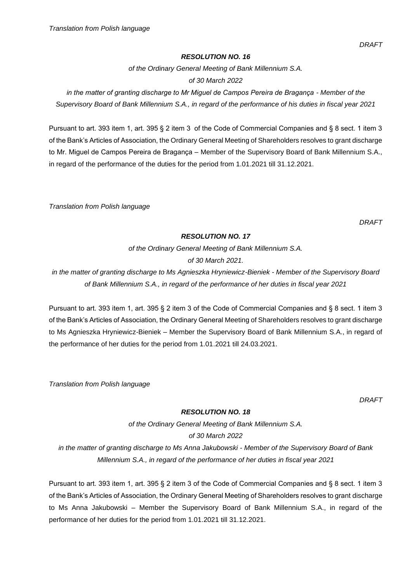*of the Ordinary General Meeting of Bank Millennium S.A. of 30 March 2022*

*in the matter of granting discharge to Mr Miguel de Campos Pereira de Bragança - Member of the Supervisory Board of Bank Millennium S.A., in regard of the performance of his duties in fiscal year 2021*

Pursuant to art. 393 item 1, art. 395 § 2 item 3 of the Code of Commercial Companies and § 8 sect. 1 item 3 of the Bank's Articles of Association, the Ordinary General Meeting of Shareholders resolves to grant discharge to Mr. Miguel de Campos Pereira de Bragança – Member of the Supervisory Board of Bank Millennium S.A., in regard of the performance of the duties for the period from 1.01.2021 till 31.12.2021.

*Translation from Polish language*

*DRAFT*

#### *RESOLUTION NO. 17*

*of the Ordinary General Meeting of Bank Millennium S.A. of 30 March 2021.* 

*in the matter of granting discharge to Ms Agnieszka Hryniewicz-Bieniek - Member of the Supervisory Board of Bank Millennium S.A., in regard of the performance of her duties in fiscal year 2021*

Pursuant to art. 393 item 1, art. 395 § 2 item 3 of the Code of Commercial Companies and § 8 sect. 1 item 3 of the Bank's Articles of Association, the Ordinary General Meeting of Shareholders resolves to grant discharge to Ms Agnieszka Hryniewicz-Bieniek – Member the Supervisory Board of Bank Millennium S.A., in regard of the performance of her duties for the period from 1.01.2021 till 24.03.2021.

*Translation from Polish language*

*DRAFT*

# *RESOLUTION NO. 18*

*of the Ordinary General Meeting of Bank Millennium S.A. of 30 March 2022*

*in the matter of granting discharge to Ms Anna Jakubowski - Member of the Supervisory Board of Bank Millennium S.A., in regard of the performance of her duties in fiscal year 2021*

Pursuant to art. 393 item 1, art. 395 § 2 item 3 of the Code of Commercial Companies and § 8 sect. 1 item 3 of the Bank's Articles of Association, the Ordinary General Meeting of Shareholders resolves to grant discharge to Ms Anna Jakubowski – Member the Supervisory Board of Bank Millennium S.A., in regard of the performance of her duties for the period from 1.01.2021 till 31.12.2021.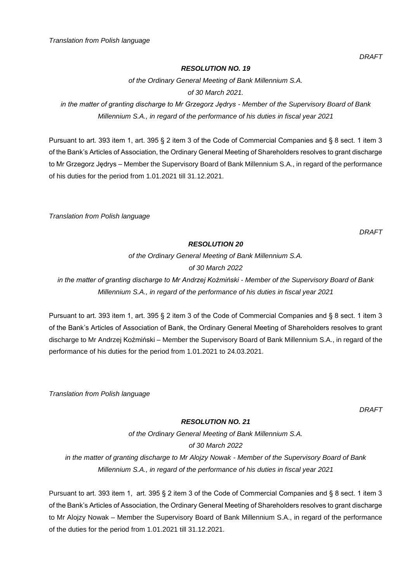*DRAFT*

# *RESOLUTION NO. 19*

*of the Ordinary General Meeting of Bank Millennium S.A. of 30 March 2021.*

*in the matter of granting discharge to Mr Grzegorz Jędrys - Member of the Supervisory Board of Bank Millennium S.A., in regard of the performance of his duties in fiscal year 2021*

Pursuant to art. 393 item 1, art. 395 § 2 item 3 of the Code of Commercial Companies and § 8 sect. 1 item 3 of the Bank's Articles of Association, the Ordinary General Meeting of Shareholders resolves to grant discharge to Mr Grzegorz Jędrys – Member the Supervisory Board of Bank Millennium S.A., in regard of the performance of his duties for the period from 1.01.2021 till 31.12.2021.

*Translation from Polish language*

*DRAFT*

# *RESOLUTION 20*

*of the Ordinary General Meeting of Bank Millennium S.A. of 30 March 2022 in the matter of granting discharge to Mr Andrzej Koźmiński - Member of the Supervisory Board of Bank Millennium S.A., in regard of the performance of his duties in fiscal year 2021*

Pursuant to art. 393 item 1, art. 395 § 2 item 3 of the Code of Commercial Companies and § 8 sect. 1 item 3 of the Bank's Articles of Association of Bank, the Ordinary General Meeting of Shareholders resolves to grant discharge to Mr Andrzej Koźmiński – Member the Supervisory Board of Bank Millennium S.A., in regard of the performance of his duties for the period from 1.01.2021 to 24.03.2021.

*Translation from Polish language*

*DRAFT*

# *RESOLUTION NO. 21*

*of the Ordinary General Meeting of Bank Millennium S.A. of 30 March 2022 in the matter of granting discharge to Mr Alojzy Nowak - Member of the Supervisory Board of Bank Millennium S.A., in regard of the performance of his duties in fiscal year 2021*

Pursuant to art. 393 item 1, art. 395 § 2 item 3 of the Code of Commercial Companies and § 8 sect. 1 item 3 of the Bank's Articles of Association, the Ordinary General Meeting of Shareholders resolves to grant discharge to Mr Alojzy Nowak – Member the Supervisory Board of Bank Millennium S.A., in regard of the performance of the duties for the period from 1.01.2021 till 31.12.2021.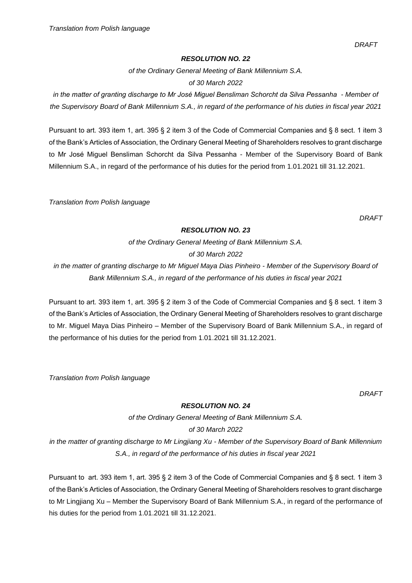*DRAFT*

#### *RESOLUTION NO. 22*

*of the Ordinary General Meeting of Bank Millennium S.A.* 

*of 30 March 2022*

*in the matter of granting discharge to Mr José Miguel Bensliman Schorcht da Silva Pessanha - Member of the Supervisory Board of Bank Millennium S.A., in regard of the performance of his duties in fiscal year 2021*

Pursuant to art. 393 item 1, art. 395 § 2 item 3 of the Code of Commercial Companies and § 8 sect. 1 item 3 of the Bank's Articles of Association, the Ordinary General Meeting of Shareholders resolves to grant discharge to Mr José Miguel Bensliman Schorcht da Silva Pessanha - Member of the Supervisory Board of Bank Millennium S.A., in regard of the performance of his duties for the period from 1.01.2021 till 31.12.2021.

*Translation from Polish language*

*DRAFT*

# *RESOLUTION NO. 23*

*of the Ordinary General Meeting of Bank Millennium S.A. of 30 March 2022*

*in the matter of granting discharge to Mr Miguel Maya Dias Pinheiro - Member of the Supervisory Board of Bank Millennium S.A., in regard of the performance of his duties in fiscal year 2021*

Pursuant to art. 393 item 1, art. 395 § 2 item 3 of the Code of Commercial Companies and § 8 sect. 1 item 3 of the Bank's Articles of Association, the Ordinary General Meeting of Shareholders resolves to grant discharge to Mr. Miguel Maya Dias Pinheiro – Member of the Supervisory Board of Bank Millennium S.A., in regard of the performance of his duties for the period from 1.01.2021 till 31.12.2021.

*Translation from Polish language*

*DRAFT*

# *RESOLUTION NO. 24*

*of the Ordinary General Meeting of Bank Millennium S.A. of 30 March 2022*

*in the matter of granting discharge to Mr Lingjiang Xu - Member of the Supervisory Board of Bank Millennium S.A., in regard of the performance of his duties in fiscal year 2021*

Pursuant to art. 393 item 1, art. 395 § 2 item 3 of the Code of Commercial Companies and § 8 sect. 1 item 3 of the Bank's Articles of Association, the Ordinary General Meeting of Shareholders resolves to grant discharge to Mr Lingjiang Xu – Member the Supervisory Board of Bank Millennium S.A., in regard of the performance of his duties for the period from 1.01.2021 till 31.12.2021.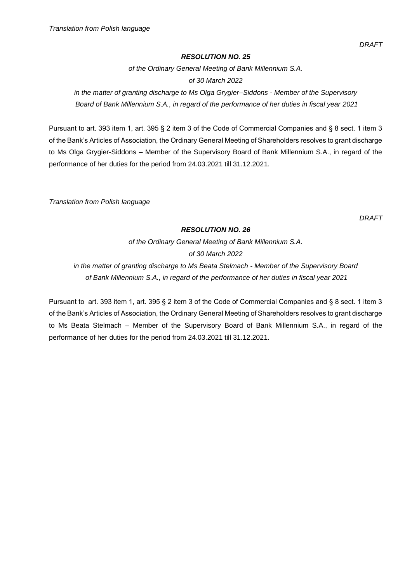*of the Ordinary General Meeting of Bank Millennium S.A. of 30 March 2022*

*in the matter of granting discharge to Ms Olga Grygier–Siddons - Member of the Supervisory Board of Bank Millennium S.A., in regard of the performance of her duties in fiscal year 2021*

Pursuant to art. 393 item 1, art. 395 § 2 item 3 of the Code of Commercial Companies and § 8 sect. 1 item 3 of the Bank's Articles of Association, the Ordinary General Meeting of Shareholders resolves to grant discharge to Ms Olga Grygier-Siddons – Member of the Supervisory Board of Bank Millennium S.A., in regard of the performance of her duties for the period from 24.03.2021 till 31.12.2021.

*Translation from Polish language*

*DRAFT*

# *RESOLUTION NO. 26*

*of the Ordinary General Meeting of Bank Millennium S.A. of 30 March 2022 in the matter of granting discharge to Ms Beata Stelmach - Member of the Supervisory Board of Bank Millennium S.A., in regard of the performance of her duties in fiscal year 2021*

Pursuant to art. 393 item 1, art. 395 § 2 item 3 of the Code of Commercial Companies and § 8 sect. 1 item 3 of the Bank's Articles of Association, the Ordinary General Meeting of Shareholders resolves to grant discharge to Ms Beata Stelmach – Member of the Supervisory Board of Bank Millennium S.A., in regard of the performance of her duties for the period from 24.03.2021 till 31.12.2021.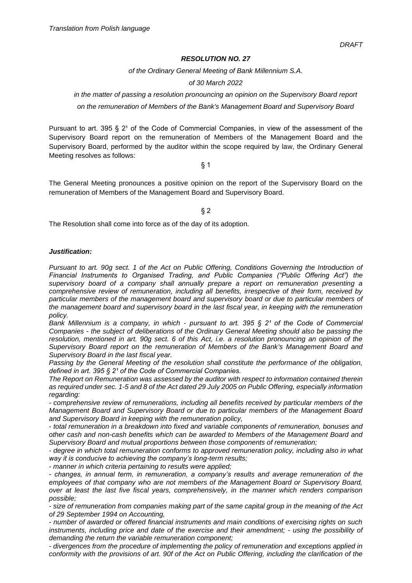*of the Ordinary General Meeting of Bank Millennium S.A.* 

*of 30 March 2022*

*in the matter of passing a resolution pronouncing an opinion on the Supervisory Board report on the remuneration of Members of the Bank's Management Board and Supervisory Board*

Pursuant to art. 395  $\S$  2<sup>1</sup> of the Code of Commercial Companies, in view of the assessment of the Supervisory Board report on the remuneration of Members of the Management Board and the Supervisory Board, performed by the auditor within the scope required by law, the Ordinary General Meeting resolves as follows:

§ 1

The General Meeting pronounces a positive opinion on the report of the Supervisory Board on the remuneration of Members of the Management Board and Supervisory Board.

§ 2

The Resolution shall come into force as of the day of its adoption.

#### *Justification:*

*Pursuant to art. 90g sect. 1 of the Act on Public Offering, Conditions Governing the Introduction of Financial Instruments to Organised Trading, and Public Companies ("Public Offering Act") the supervisory board of a company shall annually prepare a report on remuneration presenting a comprehensive review of remuneration, including all benefits, irrespective of their form, received by particular members of the management board and supervisory board or due to particular members of the management board and supervisory board in the last fiscal year, in keeping with the remuneration policy.* 

*Bank Millennium is a company, in which - pursuant to art. 395 § 2<sup>1</sup> of the Code of Commercial Companies - the subject of deliberations of the Ordinary General Meeting should also be passing the resolution, mentioned in art. 90g sect. 6 of this Act, i.e. a resolution pronouncing an opinion of the Supervisory Board report on the remuneration of Members of the Bank's Management Board and Supervisory Board in the last fiscal year.* 

*Passing by the General Meeting of the resolution shall constitute the performance of the obligation, defined in art.* 395 § 2<sup>*t*</sup> of the Code of Commercial Companies.

*The Report on Remuneration was assessed by the auditor with respect to information contained therein as required under sec. 1-5 and 8 of the Act dated 29 July 2005 on Public Offering, especially information regarding:* 

*- comprehensive review of remunerations, including all benefits received by particular members of the Management Board and Supervisory Board or due to particular members of the Management Board and Supervisory Board in keeping with the remuneration policy,* 

*- total remuneration in a breakdown into fixed and variable components of remuneration, bonuses and other cash and non-cash benefits which can be awarded to Members of the Management Board and Supervisory Board and mutual proportions between those components of remuneration;* 

*- degree in which total remuneration conforms to approved remuneration policy, including also in what way it is conducive to achieving the company's long-term results;* 

*- manner in which criteria pertaining to results were applied;* 

*- changes, in annual term, in remuneration, a company's results and average remuneration of the employees of that company who are not members of the Management Board or Supervisory Board, over at least the last five fiscal years, comprehensively, in the manner which renders comparison possible;* 

*- size of remuneration from companies making part of the same capital group in the meaning of the Act of 29 September 1994 on Accounting,* 

*- number of awarded or offered financial instruments and main conditions of exercising rights on such instruments, including price and date of the exercise and their amendment; - using the possibility of demanding the return the variable remuneration component;* 

*- divergences from the procedure of implementing the policy of remuneration and exceptions applied in conformity with the provisions of art. 90f of the Act on Public Offering, including the clarification of the*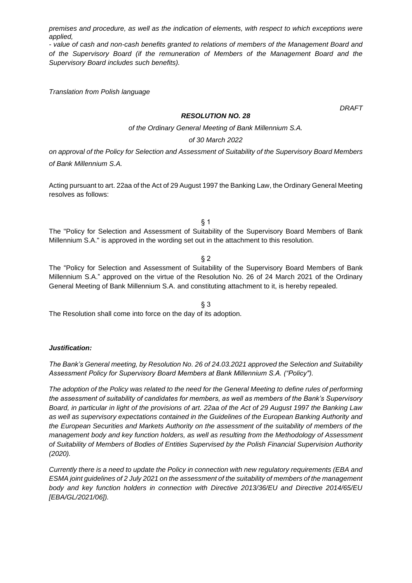*premises and procedure, as well as the indication of elements, with respect to which exceptions were applied,* 

*- value of cash and non-cash benefits granted to relations of members of the Management Board and of the Supervisory Board (if the remuneration of Members of the Management Board and the Supervisory Board includes such benefits).*

*Translation from Polish language*

*DRAFT*

## *RESOLUTION NO. 28*

*of the Ordinary General Meeting of Bank Millennium S.A.*

#### *of 30 March 2022*

*on approval of the Policy for Selection and Assessment of Suitability of the Supervisory Board Members of Bank Millennium S.A.*

Acting pursuant to art. 22aa of the Act of 29 August 1997 the Banking Law, the Ordinary General Meeting resolves as follows:

 $§$  1

The "Policy for Selection and Assessment of Suitability of the Supervisory Board Members of Bank Millennium S.A." is approved in the wording set out in the attachment to this resolution.

§ 2

The "Policy for Selection and Assessment of Suitability of the Supervisory Board Members of Bank Millennium S.A." approved on the virtue of the Resolution No. 26 of 24 March 2021 of the Ordinary General Meeting of Bank Millennium S.A. and constituting attachment to it, is hereby repealed.

§ 3 The Resolution shall come into force on the day of its adoption.

# *Justification:*

*The Bank's General meeting, by Resolution No. 26 of 24.03.2021 approved the Selection and Suitability Assessment Policy for Supervisory Board Members at Bank Millennium S.A. ("Policy").*

*The adoption of the Policy was related to the need for the General Meeting to define rules of performing the assessment of suitability of candidates for members, as well as members of the Bank's Supervisory Board, in particular in light of the provisions of art. 22aa of the Act of 29 August 1997 the Banking Law as well as supervisory expectations contained in the Guidelines of the European Banking Authority and the European Securities and Markets Authority on the assessment of the suitability of members of the management body and key function holders, as well as resulting from the Methodology of Assessment of Suitability of Members of Bodies of Entities Supervised by the Polish Financial Supervision Authority (2020).*

*Currently there is a need to update the Policy in connection with new regulatory requirements (EBA and ESMA joint guidelines of 2 July 2021 on the assessment of the suitability of members of the management body and key function holders in connection with Directive 2013/36/EU and Directive 2014/65/EU [EBA/GL/2021/06]).*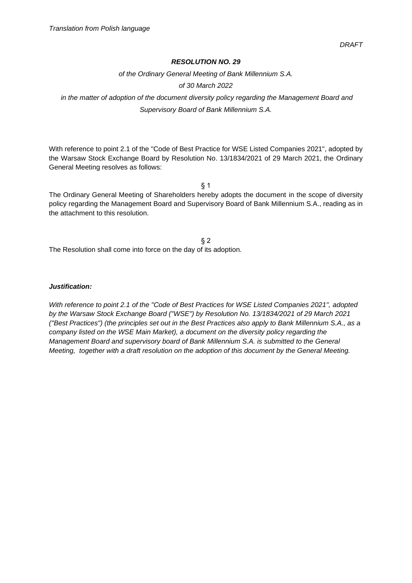*of the Ordinary General Meeting of Bank Millennium S.A.*

## *of 30 March 2022*

*in the matter of adoption of the document diversity policy regarding the Management Board and Supervisory Board of Bank Millennium S.A.*

With reference to point 2.1 of the "Code of Best Practice for WSE Listed Companies 2021", adopted by the Warsaw Stock Exchange Board by Resolution No. 13/1834/2021 of 29 March 2021, the Ordinary General Meeting resolves as follows:

§ 1

The Ordinary General Meeting of Shareholders hereby adopts the document in the scope of diversity policy regarding the Management Board and Supervisory Board of Bank Millennium S.A., reading as in the attachment to this resolution.

§ 2 The Resolution shall come into force on the day of its adoption.

#### *Justification:*

*With reference to point 2.1 of the "Code of Best Practices for WSE Listed Companies 2021", adopted by the Warsaw Stock Exchange Board ("WSE") by Resolution No. 13/1834/2021 of 29 March 2021 ("Best Practices") (the principles set out in the Best Practices also apply to Bank Millennium S.A., as a company listed on the WSE Main Market), a document on the diversity policy regarding the Management Board and supervisory board of Bank Millennium S.A. is submitted to the General Meeting, together with a draft resolution on the adoption of this document by the General Meeting.*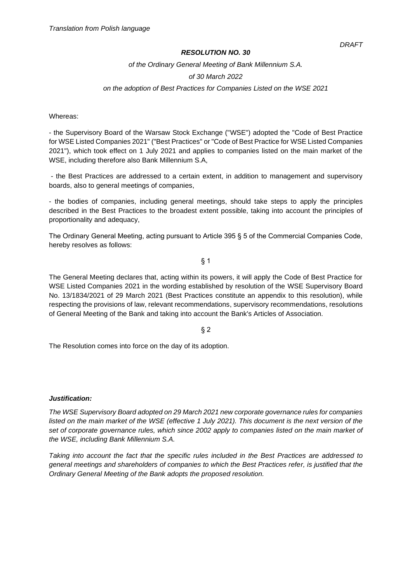*of the Ordinary General Meeting of Bank Millennium S.A.*

#### *of 30 March 2022*

*on the adoption of Best Practices for Companies Listed on the WSE 2021*

Whereas:

- the Supervisory Board of the Warsaw Stock Exchange ("WSE") adopted the "Code of Best Practice for WSE Listed Companies 2021" ("Best Practices" or "Code of Best Practice for WSE Listed Companies 2021"), which took effect on 1 July 2021 and applies to companies listed on the main market of the WSE, including therefore also Bank Millennium S.A,

- the Best Practices are addressed to a certain extent, in addition to management and supervisory boards, also to general meetings of companies,

- the bodies of companies, including general meetings, should take steps to apply the principles described in the Best Practices to the broadest extent possible, taking into account the principles of proportionality and adequacy,

The Ordinary General Meeting, acting pursuant to Article 395 § 5 of the Commercial Companies Code, hereby resolves as follows:

§ 1

The General Meeting declares that, acting within its powers, it will apply the Code of Best Practice for WSE Listed Companies 2021 in the wording established by resolution of the WSE Supervisory Board No. 13/1834/2021 of 29 March 2021 (Best Practices constitute an appendix to this resolution), while respecting the provisions of law, relevant recommendations, supervisory recommendations, resolutions of General Meeting of the Bank and taking into account the Bank's Articles of Association.

§ 2

The Resolution comes into force on the day of its adoption.

#### *Justification:*

*The WSE Supervisory Board adopted on 29 March 2021 new corporate governance rules for companies listed on the main market of the WSE (effective 1 July 2021). This document is the next version of the set of corporate governance rules, which since 2002 apply to companies listed on the main market of the WSE, including Bank Millennium S.A.*

*Taking into account the fact that the specific rules included in the Best Practices are addressed to general meetings and shareholders of companies to which the Best Practices refer, is justified that the Ordinary General Meeting of the Bank adopts the proposed resolution.*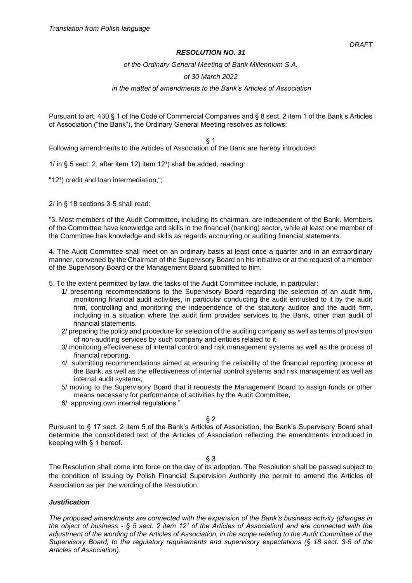*of the Ordinary General Meeting of Bank Millennium S.A.* 

#### *of 30 March 2022*

*in the matter of amendments to the Bank's Articles of Association*

Pursuant to art. 430 § 1 of the Code of Commercial Companies and § 8 sect. 2 item 1 of the Bank's Articles of Association ("the Bank"), the Ordinary General Meeting resolves as follows:

§ 1

Following amendments to the Articles of Association of the Bank are hereby introduced:

1/ in  $\S$  5 sect. 2, after item 12) item 12<sup>1</sup>) shall be added, reading:

"12<sup>1</sup>) credit and loan intermediation,";

2/ in § 18 sections 3-5 shall read:

"3. Most members of the Audit Committee, including its chairman, are independent of the Bank. Members of the Committee have knowledge and skills in the financial (banking) sector, while at least one member of the Committee has knowledge and skills as regards accounting or auditing financial statements.

4. The Audit Committee shall meet on an ordinary basis at least once a quarter and in an extraordinary manner, convened by the Chairman of the Supervisory Board on his initiative or at the request of a member of the Supervisory Board or the Management Board submitted to him.

5. To the extent permitted by law, the tasks of the Audit Committee include, in particular:

- 1/ presenting recommendations to the Supervisory Board regarding the selection of an audit firm, monitoring financial audit activities, in particular conducting the audit entrusted to it by the audit firm, controlling and monitoring the independence of the statutory auditor and the audit firm, including in a situation where the audit firm provides services to the Bank, other than audit of financial statements,
- 2/ preparing the policy and procedure for selection of the auditing company as well as terms of provision of non-auditing services by such company and entities related to it,
- 3/ monitoring effectiveness of internal control and risk management systems as well as the process of financial reporting,
- 4/ submitting recommendations aimed at ensuring the reliability of the financial reporting process at the Bank, as well as the effectiveness of internal control systems and risk management as well as internal audit systems,
- 5/ moving to the Supervisory Board that it requests the Management Board to assign funds or other means necessary for performance of activities by the Audit Committee,
- 6/ approving own internal regulations."

 $§$  2

Pursuant to § 17 sect. 2 item 5 of the Bank's Articles of Association, the Bank's Supervisory Board shall determine the consolidated text of the Articles of Association reflecting the amendments introduced in keeping with § 1 hereof.

§ 3

The Resolution shall come into force on the day of its adoption. The Resolution shall be passed subject to the condition of issuing by Polish Financial Supervision Authority the permit to amend the Articles of Association as per the wording of the Resolution.

#### *Justification*

*The proposed amendments are connected with the expansion of the Bank's business activity (changes in the object of business - § 5 sect. 2 item 12<sup>1</sup> of the Articles of Association) and are connected with the adjustment of the wording of the Articles of Association, in the scope relating to the Audit Committee of the Supervisory Board, to the regulatory requirements and supervisory expectations (§ 18 sect. 3-5 of the Articles of Association).*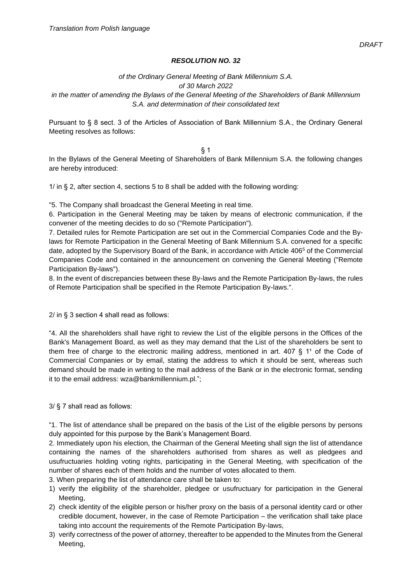# *of the Ordinary General Meeting of Bank Millennium S.A. of 30 March 2022*

*in the matter of amending the Bylaws of the General Meeting of the Shareholders of Bank Millennium S.A. and determination of their consolidated text*

Pursuant to § 8 sect. 3 of the Articles of Association of Bank Millennium S.A., the Ordinary General Meeting resolves as follows:

 $§$  1 In the Bylaws of the General Meeting of Shareholders of Bank Millennium S.A. the following changes are hereby introduced:

1/ in § 2, after section 4, sections 5 to 8 shall be added with the following wording:

"5. The Company shall broadcast the General Meeting in real time.

6. Participation in the General Meeting may be taken by means of electronic communication, if the convener of the meeting decides to do so ("Remote Participation").

7. Detailed rules for Remote Participation are set out in the Commercial Companies Code and the Bylaws for Remote Participation in the General Meeting of Bank Millennium S.A. convened for a specific date, adopted by the Supervisory Board of the Bank, in accordance with Article 406<sup>5</sup> of the Commercial Companies Code and contained in the announcement on convening the General Meeting ("Remote Participation By-laws").

8. In the event of discrepancies between these By-laws and the Remote Participation By-laws, the rules of Remote Participation shall be specified in the Remote Participation By-laws.".

2/ in § 3 section 4 shall read as follows:

"4. All the shareholders shall have right to review the List of the eligible persons in the Offices of the Bank's Management Board, as well as they may demand that the List of the shareholders be sent to them free of charge to the electronic mailing address, mentioned in art.  $407 \, \S$  1<sup>1</sup> of the Code of Commercial Companies or by email, stating the address to which it should be sent, whereas such demand should be made in writing to the mail address of the Bank or in the electronic format, sending it to the email address: wza@bankmillennium.pl.";

3/ § 7 shall read as follows:

"1. The list of attendance shall be prepared on the basis of the List of the eligible persons by persons duly appointed for this purpose by the Bank's Management Board.

2. Immediately upon his election, the Chairman of the General Meeting shall sign the list of attendance containing the names of the shareholders authorised from shares as well as pledgees and usufructuaries holding voting rights, participating in the General Meeting, with specification of the number of shares each of them holds and the number of votes allocated to them.

- 3. When preparing the list of attendance care shall be taken to:
- 1) verify the eligibility of the shareholder, pledgee or usufructuary for participation in the General Meeting,
- 2) check identity of the eligible person or his/her proxy on the basis of a personal identity card or other credible document, however, in the case of Remote Participation – the verification shall take place taking into account the requirements of the Remote Participation By-laws,
- 3) verify correctness of the power of attorney, thereafter to be appended to the Minutes from the General Meeting,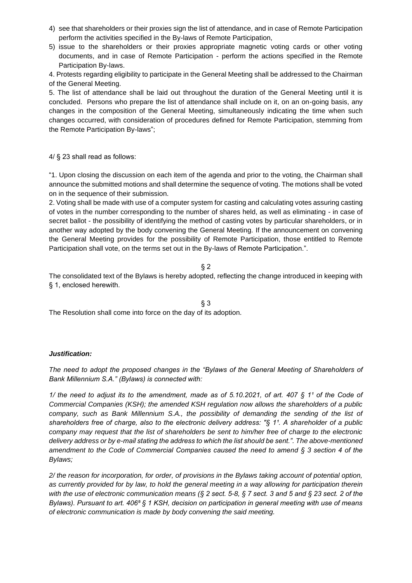- 4) see that shareholders or their proxies sign the list of attendance, and in case of Remote Participation perform the activities specified in the By-laws of Remote Participation,
- 5) issue to the shareholders or their proxies appropriate magnetic voting cards or other voting documents, and in case of Remote Participation - perform the actions specified in the Remote Participation By-laws.

4. Protests regarding eligibility to participate in the General Meeting shall be addressed to the Chairman of the General Meeting.

5. The list of attendance shall be laid out throughout the duration of the General Meeting until it is concluded. Persons who prepare the list of attendance shall include on it, on an on-going basis, any changes in the composition of the General Meeting, simultaneously indicating the time when such changes occurred, with consideration of procedures defined for Remote Participation, stemming from the Remote Participation By-laws";

4/ § 23 shall read as follows:

"1. Upon closing the discussion on each item of the agenda and prior to the voting, the Chairman shall announce the submitted motions and shall determine the sequence of voting. The motions shall be voted on in the sequence of their submission.

2. Voting shall be made with use of a computer system for casting and calculating votes assuring casting of votes in the number corresponding to the number of shares held, as well as eliminating - in case of secret ballot - the possibility of identifying the method of casting votes by particular shareholders, or in another way adopted by the body convening the General Meeting. If the announcement on convening the General Meeting provides for the possibility of Remote Participation, those entitled to Remote Participation shall vote, on the terms set out in the By-laws of Remote Participation.".

§ 2

The consolidated text of the Bylaws is hereby adopted, reflecting the change introduced in keeping with § 1, enclosed herewith.

§ 3 The Resolution shall come into force on the day of its adoption.

# *Justification:*

*The need to adopt the proposed changes in the "Bylaws of the General Meeting of Shareholders of Bank Millennium S.A." (Bylaws) is connected with:*

*1/ the need to adjust its to the amendment, made as of 5.10.2021, of art. 407 § 1<sup>1</sup> of the Code of Commercial Companies (KSH); the amended KSH regulation now allows the shareholders of a public company, such as Bank Millennium S.A., the possibility of demanding the sending of the list of*  shareholders free of charge, also to the electronic delivery address: "§ 1<sup>1</sup>. A shareholder of a public *company may request that the list of shareholders be sent to him/her free of charge to the electronic delivery address or by e-mail stating the address to which the list should be sent.". The above-mentioned amendment to the Code of Commercial Companies caused the need to amend § 3 section 4 of the Bylaws;*

*2/ the reason for incorporation, for order, of provisions in the Bylaws taking account of potential option, as currently provided for by law, to hold the general meeting in a way allowing for participation therein with the use of electronic communication means (§ 2 sect. 5-8, § 7 sect. 3 and 5 and § 23 sect. 2 of the Bylaws). Pursuant to art. 406⁵ § 1 KSH, decision on participation in general meeting with use of means of electronic communication is made by body convening the said meeting.*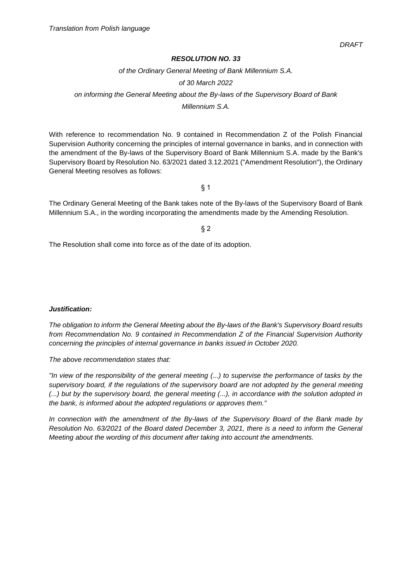*of the Ordinary General Meeting of Bank Millennium S.A.*

#### *of 30 March 2022*

# *on informing the General Meeting about the By-laws of the Supervisory Board of Bank*

*Millennium S.A.*

With reference to recommendation No. 9 contained in Recommendation Z of the Polish Financial Supervision Authority concerning the principles of internal governance in banks, and in connection with the amendment of the By-laws of the Supervisory Board of Bank Millennium S.A. made by the Bank's Supervisory Board by Resolution No. 63/2021 dated 3.12.2021 ("Amendment Resolution"), the Ordinary General Meeting resolves as follows:

§ 1

The Ordinary General Meeting of the Bank takes note of the By-laws of the Supervisory Board of Bank Millennium S.A., in the wording incorporating the amendments made by the Amending Resolution.

 $§$  2

The Resolution shall come into force as of the date of its adoption.

# *Justification:*

*The obligation to inform the General Meeting about the By-laws of the Bank's Supervisory Board results from Recommendation No. 9 contained in Recommendation Z of the Financial Supervision Authority concerning the principles of internal governance in banks issued in October 2020.*

*The above recommendation states that:*

*"In view of the responsibility of the general meeting (...) to supervise the performance of tasks by the supervisory board, if the regulations of the supervisory board are not adopted by the general meeting (...) but by the supervisory board, the general meeting (...), in accordance with the solution adopted in the bank, is informed about the adopted regulations or approves them."*

*In connection with the amendment of the By-laws of the Supervisory Board of the Bank made by Resolution No. 63/2021 of the Board dated December 3, 2021, there is a need to inform the General Meeting about the wording of this document after taking into account the amendments.*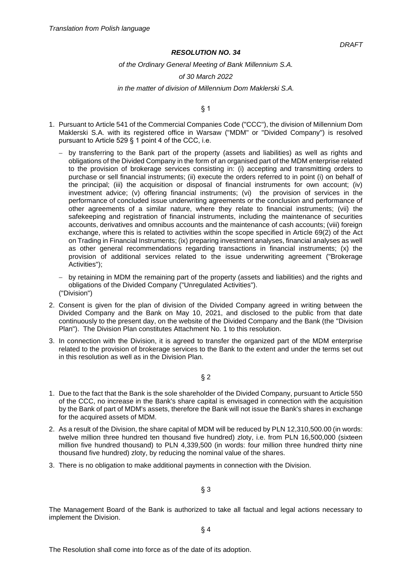#### *of the Ordinary General Meeting of Bank Millennium S.A.*

#### *of 30 March 2022*

#### *in the matter of division of Millennium Dom Maklerski S.A.*

§ 1

- 1. Pursuant to Article 541 of the Commercial Companies Code ("CCC"), the division of Millennium Dom Maklerski S.A. with its registered office in Warsaw ("MDM" or "Divided Company") is resolved pursuant to Article 529 § 1 point 4 of the CCC, i.e.
	- − by transferring to the Bank part of the property (assets and liabilities) as well as rights and obligations of the Divided Company in the form of an organised part of the MDM enterprise related to the provision of brokerage services consisting in: (i) accepting and transmitting orders to purchase or sell financial instruments; (ii) execute the orders referred to in point (i) on behalf of the principal; (iii) the acquisition or disposal of financial instruments for own account; (iv) investment advice; (v) offering financial instruments; (vi) the provision of services in the performance of concluded issue underwriting agreements or the conclusion and performance of other agreements of a similar nature, where they relate to financial instruments; (vii) the safekeeping and registration of financial instruments, including the maintenance of securities accounts, derivatives and omnibus accounts and the maintenance of cash accounts; (viii) foreign exchange, where this is related to activities within the scope specified in Article 69(2) of the Act on Trading in Financial Instruments; (ix) preparing investment analyses, financial analyses as well as other general recommendations regarding transactions in financial instruments; (x) the provision of additional services related to the issue underwriting agreement ("Brokerage Activities");
	- − by retaining in MDM the remaining part of the property (assets and liabilities) and the rights and obligations of the Divided Company ("Unregulated Activities"). ("Division")
- 2. Consent is given for the plan of division of the Divided Company agreed in writing between the Divided Company and the Bank on May 10, 2021, and disclosed to the public from that date continuously to the present day, on the website of the Divided Company and the Bank (the "Division Plan"). The Division Plan constitutes Attachment No. 1 to this resolution.
- 3. In connection with the Division, it is agreed to transfer the organized part of the MDM enterprise related to the provision of brokerage services to the Bank to the extent and under the terms set out in this resolution as well as in the Division Plan.

# § 2

- 1. Due to the fact that the Bank is the sole shareholder of the Divided Company, pursuant to Article 550 of the CCC, no increase in the Bank's share capital is envisaged in connection with the acquisition by the Bank of part of MDM's assets, therefore the Bank will not issue the Bank's shares in exchange for the acquired assets of MDM.
- 2. As a result of the Division, the share capital of MDM will be reduced by PLN 12,310,500.00 (in words: twelve million three hundred ten thousand five hundred) zloty, i.e. from PLN 16,500,000 (sixteen million five hundred thousand) to PLN 4,339,500 (in words: four million three hundred thirty nine thousand five hundred) zloty, by reducing the nominal value of the shares.
- 3. There is no obligation to make additional payments in connection with the Division.

# § 3

The Management Board of the Bank is authorized to take all factual and legal actions necessary to implement the Division.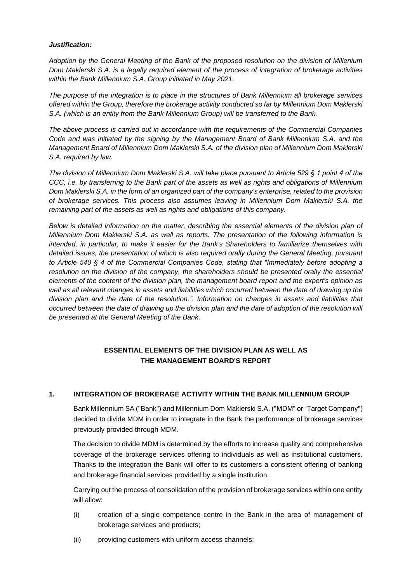## *Justification:*

*Adoption by the General Meeting of the Bank of the proposed resolution on the division of Millenium Dom Maklerski S.A. is a legally required element of the process of integration of brokerage activities within the Bank Millennium S.A. Group initiated in May 2021.*

*The purpose of the integration is to place in the structures of Bank Millennium all brokerage services offered within the Group, therefore the brokerage activity conducted so far by Millennium Dom Maklerski S.A. (which is an entity from the Bank Millennium Group) will be transferred to the Bank.* 

*The above process is carried out in accordance with the requirements of the Commercial Companies Code and was initiated by the signing by the Management Board of Bank Millennium S.A. and the Management Board of Millennium Dom Maklerski S.A. of the division plan of Millennium Dom Maklerski S.A. required by law.* 

*The division of Millennium Dom Maklerski S.A. will take place pursuant to Article 529 § 1 point 4 of the CCC, i.e. by transferring to the Bank part of the assets as well as rights and obligations of Millennium Dom Maklerski S.A. in the form of an organized part of the company's enterprise, related to the provision of brokerage services. This process also assumes leaving in Millennium Dom Maklerski S.A. the remaining part of the assets as well as rights and obligations of this company.*

*Below is detailed information on the matter, describing the essential elements of the division plan of Millennium Dom Maklerski S.A. as well as reports. The presentation of the following information is intended, in particular, to make it easier for the Bank's Shareholders to familiarize themselves with detailed issues, the presentation of which is also required orally during the General Meeting, pursuant to Article 540 § 4 of the Commercial Companies Code, stating that "Immediately before adopting a resolution on the division of the company, the shareholders should be presented orally the essential elements of the content of the division plan, the management board report and the expert's opinion as*  well as all relevant changes in assets and liabilities which occurred between the date of drawing up the *division plan and the date of the resolution.". Information on changes in assets and liabilities that occurred between the date of drawing up the division plan and the date of adoption of the resolution will be presented at the General Meeting of the Bank.*

# **ESSENTIAL ELEMENTS OF THE DIVISION PLAN AS WELL AS THE MANAGEMENT BOARD'S REPORT**

# **1. INTEGRATION OF BROKERAGE ACTIVITY WITHIN THE BANK MILLENNIUM GROUP**

Bank Millennium SA ("Bank") and Millennium Dom Maklerski S.A. ("MDM" or "Target Company") decided to divide MDM in order to integrate in the Bank the performance of brokerage services previously provided through MDM.

The decision to divide MDM is determined by the efforts to increase quality and comprehensive coverage of the brokerage services offering to individuals as well as institutional customers. Thanks to the integration the Bank will offer to its customers a consistent offering of banking and brokerage financial services provided by a single institution.

Carrying out the process of consolidation of the provision of brokerage services within one entity will allow:

- (i) creation of a single competence centre in the Bank in the area of management of brokerage services and products;
- (ii) providing customers with uniform access channels;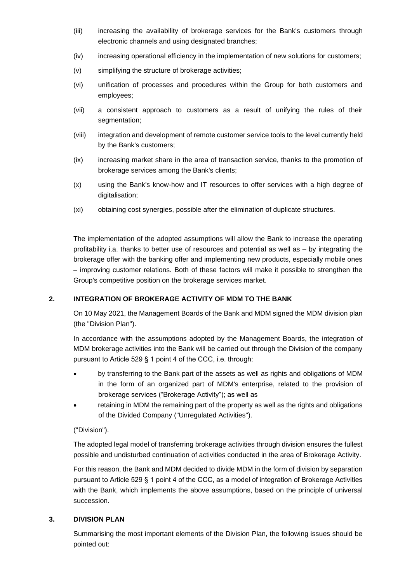- (iii) increasing the availability of brokerage services for the Bank's customers through electronic channels and using designated branches;
- (iv) increasing operational efficiency in the implementation of new solutions for customers;
- (v) simplifying the structure of brokerage activities;
- (vi) unification of processes and procedures within the Group for both customers and employees;
- (vii) a consistent approach to customers as a result of unifying the rules of their segmentation:
- (viii) integration and development of remote customer service tools to the level currently held by the Bank's customers;
- (ix) increasing market share in the area of transaction service, thanks to the promotion of brokerage services among the Bank's clients;
- (x) using the Bank's know-how and IT resources to offer services with a high degree of digitalisation;
- (xi) obtaining cost synergies, possible after the elimination of duplicate structures.

The implementation of the adopted assumptions will allow the Bank to increase the operating profitability i.a. thanks to better use of resources and potential as well as – by integrating the brokerage offer with the banking offer and implementing new products, especially mobile ones – improving customer relations. Both of these factors will make it possible to strengthen the Group's competitive position on the brokerage services market.

# **2. INTEGRATION OF BROKERAGE ACTIVITY OF MDM TO THE BANK**

On 10 May 2021, the Management Boards of the Bank and MDM signed the MDM division plan (the "Division Plan").

In accordance with the assumptions adopted by the Management Boards, the integration of MDM brokerage activities into the Bank will be carried out through the Division of the company pursuant to Article 529 § 1 point 4 of the CCC, i.e. through:

- by transferring to the Bank part of the assets as well as rights and obligations of MDM in the form of an organized part of MDM's enterprise, related to the provision of brokerage services ("Brokerage Activity"); as well as
- retaining in MDM the remaining part of the property as well as the rights and obligations of the Divided Company ("Unregulated Activities").

# ("Division").

The adopted legal model of transferring brokerage activities through division ensures the fullest possible and undisturbed continuation of activities conducted in the area of Brokerage Activity.

For this reason, the Bank and MDM decided to divide MDM in the form of division by separation pursuant to Article 529 § 1 point 4 of the CCC, as a model of integration of Brokerage Activities with the Bank, which implements the above assumptions, based on the principle of universal succession.

# **3. DIVISION PLAN**

Summarising the most important elements of the Division Plan, the following issues should be pointed out: